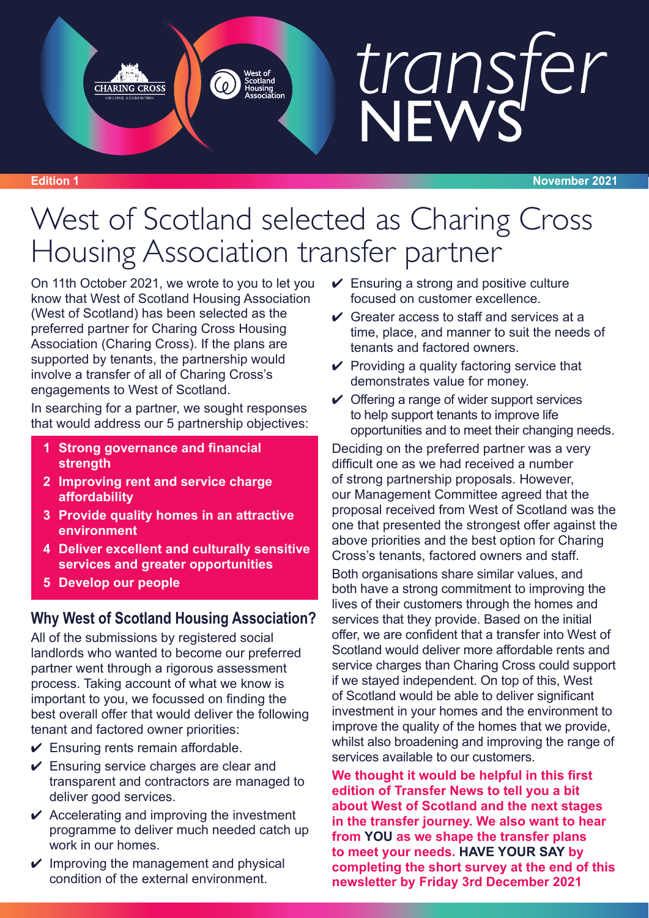# *transfer* **NEWS**

### West of Scotland selected as Charing Cross Housing Association transfer partner

On 11th October 2021, we wrote to you to let you know that West of Scotland Housing Association (West of Scotland) has been selected as the preferred partner for Charing Cross Housing Association (Charing Cross). If the plans are supported by tenants, the partnership would involve a transfer of all of Charing Cross's engagements to West of Scotland.

**CHARING CROSS** 

In searching for a partner, we sought responses that would address our 5 partnership objectives:

- **1 Strong governance and financial strength**
- **2 Improving rent and service charge affordability**
- **3 Provide quality homes in an attractive environment**
- **4 Deliver excellent and culturally sensitive services and greater opportunities**
- **5 Develop our people**

### **Why West of Scotland Housing Association?**

All of the submissions by registered social landlords who wanted to become our preferred partner went through a rigorous assessment process. Taking account of what we know is important to you, we focussed on finding the best overall offer that would deliver the following tenant and factored owner priorities:

- $\checkmark$  Ensuring rents remain affordable.
- $\vee$  Ensuring service charges are clear and transparent and contractors are managed to deliver good services.
- $\vee$  Accelerating and improving the investment programme to deliver much needed catch up work in our homes.
- $\vee$  Improving the management and physical condition of the external environment.
- $\vee$  Ensuring a strong and positive culture focused on customer excellence.
- $\vee$  Greater access to staff and services at a time, place, and manner to suit the needs of tenants and factored owners.
- $\vee$  Providing a quality factoring service that demonstrates value for money.
- $\vee$  Offering a range of wider support services to help support tenants to improve life opportunities and to meet their changing needs.

Deciding on the preferred partner was a very difficult one as we had received a number of strong partnership proposals. However, our Management Committee agreed that the proposal received from West of Scotland was the one that presented the strongest offer against the above priorities and the best option for Charing Cross's tenants, factored owners and staff.

Both organisations share similar values, and both have a strong commitment to improving the lives of their customers through the homes and services that they provide. Based on the initial offer, we are confident that a transfer into West of Scotland would deliver more affordable rents and service charges than Charing Cross could support if we stayed independent. On top of this, West of Scotland would be able to deliver significant investment in your homes and the environment to improve the quality of the homes that we provide, whilst also broadening and improving the range of services available to our customers.

**We thought it would be helpful in this first edition of Transfer News to tell you a bit about West of Scotland and the next stages in the transfer journey. We also want to hear from YOU as we shape the transfer plans to meet your needs. HAVE YOUR SAY by completing the short survey at the end of this newsletter by Friday 3rd December 2021**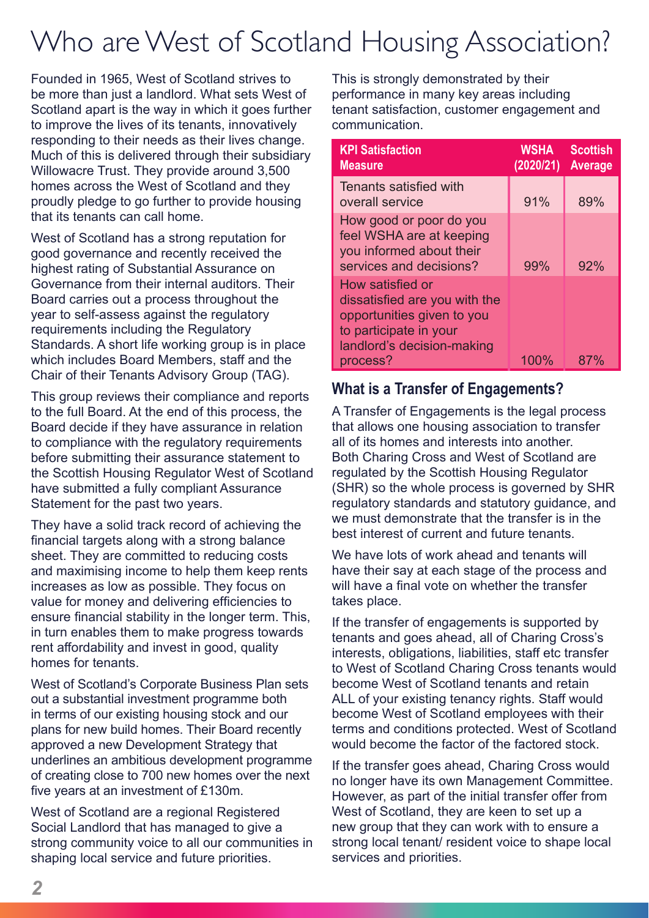## Who are West of Scotland Housing Association?

Founded in 1965, West of Scotland strives to be more than just a landlord. What sets West of Scotland apart is the way in which it goes further to improve the lives of its tenants, innovatively responding to their needs as their lives change. Much of this is delivered through their subsidiary Willowacre Trust. They provide around 3,500 homes across the West of Scotland and they proudly pledge to go further to provide housing that its tenants can call home.

West of Scotland has a strong reputation for good governance and recently received the highest rating of Substantial Assurance on Governance from their internal auditors. Their Board carries out a process throughout the year to self-assess against the regulatory requirements including the Regulatory Standards. A short life working group is in place which includes Board Members, staff and the Chair of their Tenants Advisory Group (TAG).

This group reviews their compliance and reports to the full Board. At the end of this process, the Board decide if they have assurance in relation to compliance with the regulatory requirements before submitting their assurance statement to the Scottish Housing Regulator West of Scotland have submitted a fully compliant Assurance Statement for the past two years.

They have a solid track record of achieving the financial targets along with a strong balance sheet. They are committed to reducing costs and maximising income to help them keep rents increases as low as possible. They focus on value for money and delivering efficiencies to ensure financial stability in the longer term. This, in turn enables them to make progress towards rent affordability and invest in good, quality homes for tenants.

West of Scotland's Corporate Business Plan sets out a substantial investment programme both in terms of our existing housing stock and our plans for new build homes. Their Board recently approved a new Development Strategy that underlines an ambitious development programme of creating close to 700 new homes over the next five years at an investment of £130m.

West of Scotland are a regional Registered Social Landlord that has managed to give a strong community voice to all our communities in shaping local service and future priorities.

This is strongly demonstrated by their performance in many key areas including tenant satisfaction, customer engagement and communication.

| <b>WSHA</b><br>(2020/21) | <b>Scottish</b><br><b>Average</b> |
|--------------------------|-----------------------------------|
| 91%                      | 89%                               |
| 99%                      | 92%                               |
| 100%                     |                                   |
|                          |                                   |

### **What is a Transfer of Engagements?**

A Transfer of Engagements is the legal process that allows one housing association to transfer all of its homes and interests into another. Both Charing Cross and West of Scotland are regulated by the Scottish Housing Regulator (SHR) so the whole process is governed by SHR regulatory standards and statutory guidance, and we must demonstrate that the transfer is in the best interest of current and future tenants.

We have lots of work ahead and tenants will have their say at each stage of the process and will have a final vote on whether the transfer takes place.

If the transfer of engagements is supported by tenants and goes ahead, all of Charing Cross's interests, obligations, liabilities, staff etc transfer to West of Scotland Charing Cross tenants would become West of Scotland tenants and retain ALL of your existing tenancy rights. Staff would become West of Scotland employees with their terms and conditions protected. West of Scotland would become the factor of the factored stock.

If the transfer goes ahead, Charing Cross would no longer have its own Management Committee. However, as part of the initial transfer offer from West of Scotland, they are keen to set up a new group that they can work with to ensure a strong local tenant/ resident voice to shape local services and priorities.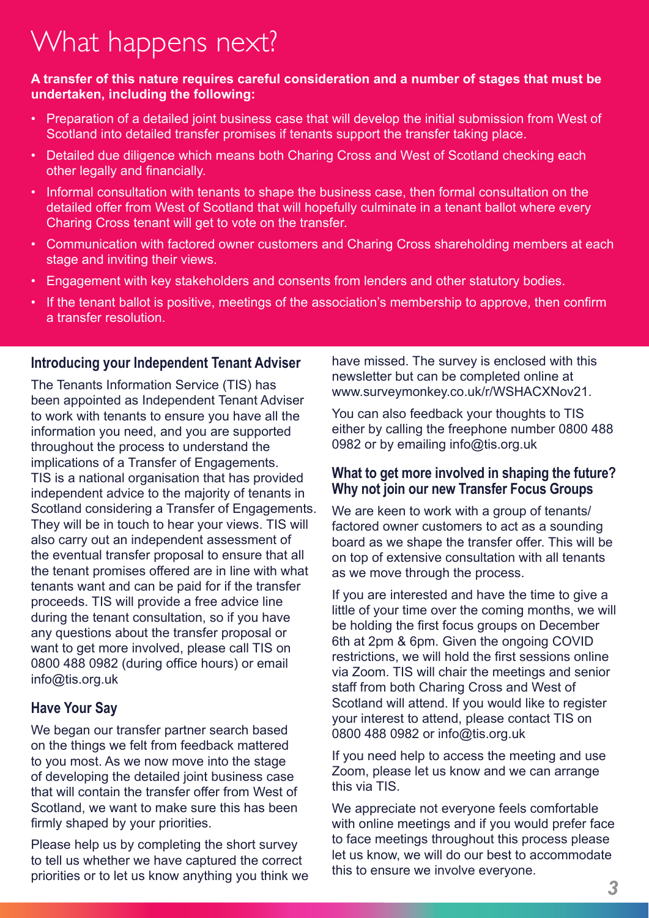## What happens next?

#### **A transfer of this nature requires careful consideration and a number of stages that must be undertaken, including the following:**

- Preparation of a detailed joint business case that will develop the initial submission from West of Scotland into detailed transfer promises if tenants support the transfer taking place.
- Detailed due diligence which means both Charing Cross and West of Scotland checking each other legally and financially.
- Informal consultation with tenants to shape the business case, then formal consultation on the detailed offer from West of Scotland that will hopefully culminate in a tenant ballot where every Charing Cross tenant will get to vote on the transfer.
- Communication with factored owner customers and Charing Cross shareholding members at each stage and inviting their views.
- Engagement with key stakeholders and consents from lenders and other statutory bodies.
- If the tenant ballot is positive, meetings of the association's membership to approve, then confirm a transfer resolution.

#### **Introducing your Independent Tenant Adviser**

The Tenants Information Service (TIS) has been appointed as Independent Tenant Adviser to work with tenants to ensure you have all the information you need, and you are supported throughout the process to understand the implications of a Transfer of Engagements. TIS is a national organisation that has provided independent advice to the majority of tenants in Scotland considering a Transfer of Engagements. They will be in touch to hear your views. TIS will also carry out an independent assessment of the eventual transfer proposal to ensure that all the tenant promises offered are in line with what tenants want and can be paid for if the transfer proceeds. TIS will provide a free advice line during the tenant consultation, so if you have any questions about the transfer proposal or want to get more involved, please call TIS on 0800 488 0982 (during office hours) or email info@tis.org.uk

### **Have Your Say**

We began our transfer partner search based on the things we felt from feedback mattered to you most. As we now move into the stage of developing the detailed joint business case that will contain the transfer offer from West of Scotland, we want to make sure this has been firmly shaped by your priorities.

Please help us by completing the short survey to tell us whether we have captured the correct priorities or to let us know anything you think we have missed. The survey is enclosed with this newsletter but can be completed online at www.surveymonkey.co.uk/r/WSHACXNov21.

You can also feedback your thoughts to TIS either by calling the freephone number 0800 488 0982 or by emailing info@tis.org.uk

#### **What to get more involved in shaping the future? Why not join our new Transfer Focus Groups**

We are keen to work with a group of tenants/ factored owner customers to act as a sounding board as we shape the transfer offer. This will be on top of extensive consultation with all tenants as we move through the process.

If you are interested and have the time to give a little of your time over the coming months, we will be holding the first focus groups on December 6th at 2pm & 6pm. Given the ongoing COVID restrictions, we will hold the first sessions online via Zoom. TIS will chair the meetings and senior staff from both Charing Cross and West of Scotland will attend. If you would like to register your interest to attend, please contact TIS on 0800 488 0982 or info@tis.org.uk

If you need help to access the meeting and use Zoom, please let us know and we can arrange this via TIS.

We appreciate not everyone feels comfortable with online meetings and if you would prefer face to face meetings throughout this process please let us know, we will do our best to accommodate this to ensure we involve everyone.